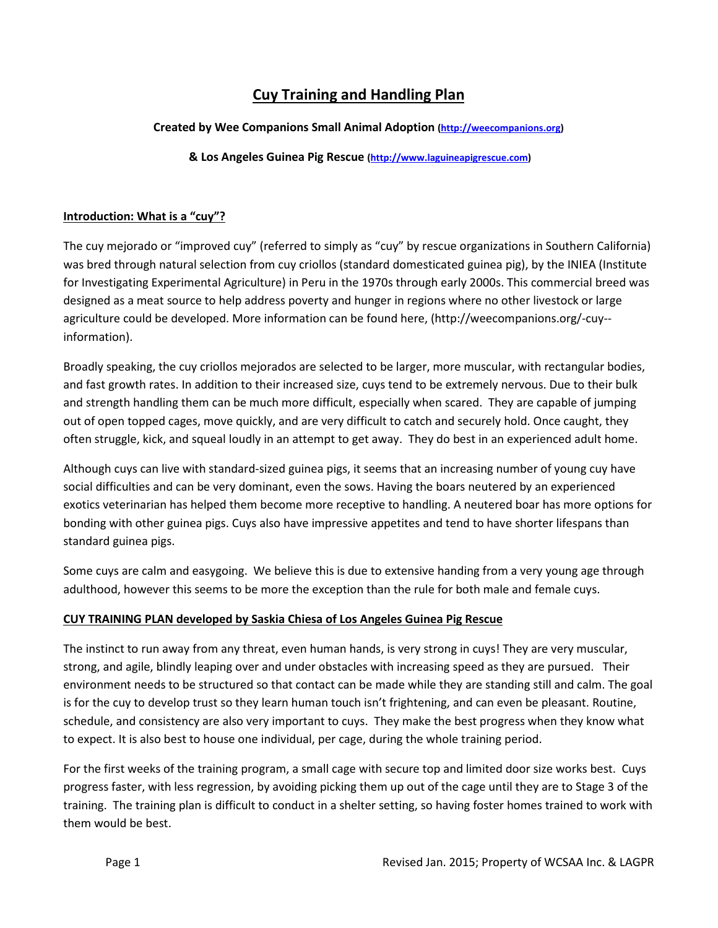# Cuy Training and Handling Plan

# Created by Wee Companions Small Animal Adoption (http://weecompanions.org)

& Los Angeles Guinea Pig Rescue (http://www.laguineapigrescue.com)

# Introduction: What is a "cuy"?

The cuy mejorado or "improved cuy" (referred to simply as "cuy" by rescue organizations in Southern California) was bred through natural selection from cuy criollos (standard domesticated guinea pig), by the INIEA (Institute for Investigating Experimental Agriculture) in Peru in the 1970s through early 2000s. This commercial breed was designed as a meat source to help address poverty and hunger in regions where no other livestock or large agriculture could be developed. More information can be found here, (http://weecompanions.org/-cuy- information).

Broadly speaking, the cuy criollos mejorados are selected to be larger, more muscular, with rectangular bodies, and fast growth rates. In addition to their increased size, cuys tend to be extremely nervous. Due to their bulk and strength handling them can be much more difficult, especially when scared. They are capable of jumping out of open topped cages, move quickly, and are very difficult to catch and securely hold. Once caught, they often struggle, kick, and squeal loudly in an attempt to get away. They do best in an experienced adult home.

Although cuys can live with standard-sized guinea pigs, it seems that an increasing number of young cuy have social difficulties and can be very dominant, even the sows. Having the boars neutered by an experienced exotics veterinarian has helped them become more receptive to handling. A neutered boar has more options for bonding with other guinea pigs. Cuys also have impressive appetites and tend to have shorter lifespans than standard guinea pigs.

Some cuys are calm and easygoing. We believe this is due to extensive handing from a very young age through adulthood, however this seems to be more the exception than the rule for both male and female cuys.

# CUY TRAINING PLAN developed by Saskia Chiesa of Los Angeles Guinea Pig Rescue

The instinct to run away from any threat, even human hands, is very strong in cuys! They are very muscular, strong, and agile, blindly leaping over and under obstacles with increasing speed as they are pursued. Their environment needs to be structured so that contact can be made while they are standing still and calm. The goal is for the cuy to develop trust so they learn human touch isn't frightening, and can even be pleasant. Routine, schedule, and consistency are also very important to cuys. They make the best progress when they know what to expect. It is also best to house one individual, per cage, during the whole training period.

For the first weeks of the training program, a small cage with secure top and limited door size works best. Cuys progress faster, with less regression, by avoiding picking them up out of the cage until they are to Stage 3 of the training. The training plan is difficult to conduct in a shelter setting, so having foster homes trained to work with them would be best.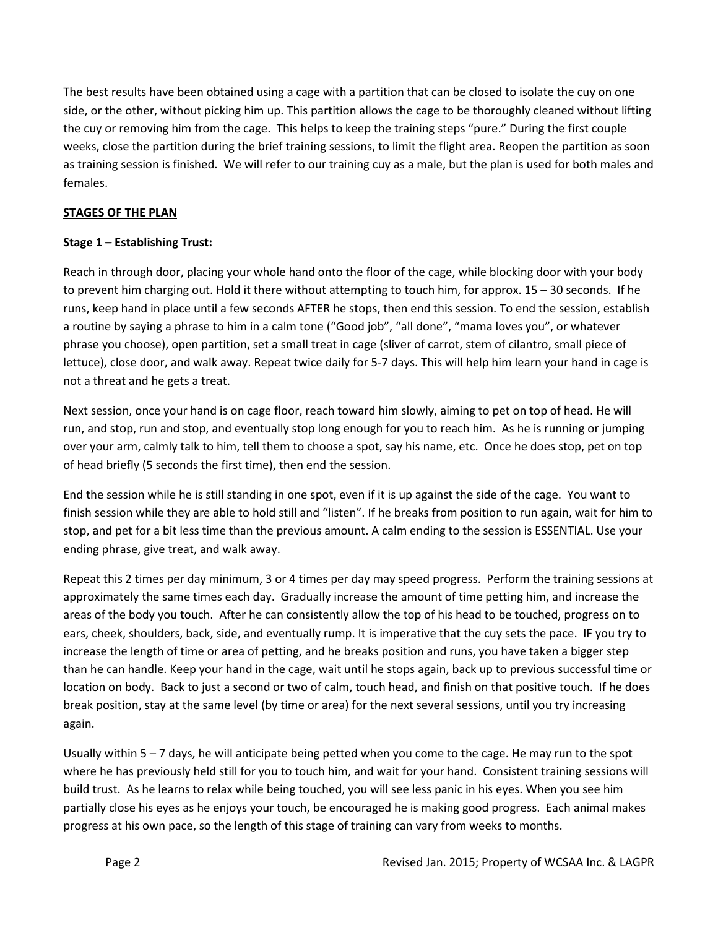The best results have been obtained using a cage with a partition that can be closed to isolate the cuy on one side, or the other, without picking him up. This partition allows the cage to be thoroughly cleaned without lifting the cuy or removing him from the cage. This helps to keep the training steps "pure." During the first couple weeks, close the partition during the brief training sessions, to limit the flight area. Reopen the partition as soon as training session is finished. We will refer to our training cuy as a male, but the plan is used for both males and females.

#### STAGES OF THE PLAN

#### Stage 1 – Establishing Trust:

Reach in through door, placing your whole hand onto the floor of the cage, while blocking door with your body to prevent him charging out. Hold it there without attempting to touch him, for approx. 15 – 30 seconds. If he runs, keep hand in place until a few seconds AFTER he stops, then end this session. To end the session, establish a routine by saying a phrase to him in a calm tone ("Good job", "all done", "mama loves you", or whatever phrase you choose), open partition, set a small treat in cage (sliver of carrot, stem of cilantro, small piece of lettuce), close door, and walk away. Repeat twice daily for 5-7 days. This will help him learn your hand in cage is not a threat and he gets a treat.

Next session, once your hand is on cage floor, reach toward him slowly, aiming to pet on top of head. He will run, and stop, run and stop, and eventually stop long enough for you to reach him. As he is running or jumping over your arm, calmly talk to him, tell them to choose a spot, say his name, etc. Once he does stop, pet on top of head briefly (5 seconds the first time), then end the session.

End the session while he is still standing in one spot, even if it is up against the side of the cage. You want to finish session while they are able to hold still and "listen". If he breaks from position to run again, wait for him to stop, and pet for a bit less time than the previous amount. A calm ending to the session is ESSENTIAL. Use your ending phrase, give treat, and walk away.

Repeat this 2 times per day minimum, 3 or 4 times per day may speed progress. Perform the training sessions at approximately the same times each day. Gradually increase the amount of time petting him, and increase the areas of the body you touch. After he can consistently allow the top of his head to be touched, progress on to ears, cheek, shoulders, back, side, and eventually rump. It is imperative that the cuy sets the pace. IF you try to increase the length of time or area of petting, and he breaks position and runs, you have taken a bigger step than he can handle. Keep your hand in the cage, wait until he stops again, back up to previous successful time or location on body. Back to just a second or two of calm, touch head, and finish on that positive touch. If he does break position, stay at the same level (by time or area) for the next several sessions, until you try increasing again.

Usually within 5 – 7 days, he will anticipate being petted when you come to the cage. He may run to the spot where he has previously held still for you to touch him, and wait for your hand. Consistent training sessions will build trust. As he learns to relax while being touched, you will see less panic in his eyes. When you see him partially close his eyes as he enjoys your touch, be encouraged he is making good progress. Each animal makes progress at his own pace, so the length of this stage of training can vary from weeks to months.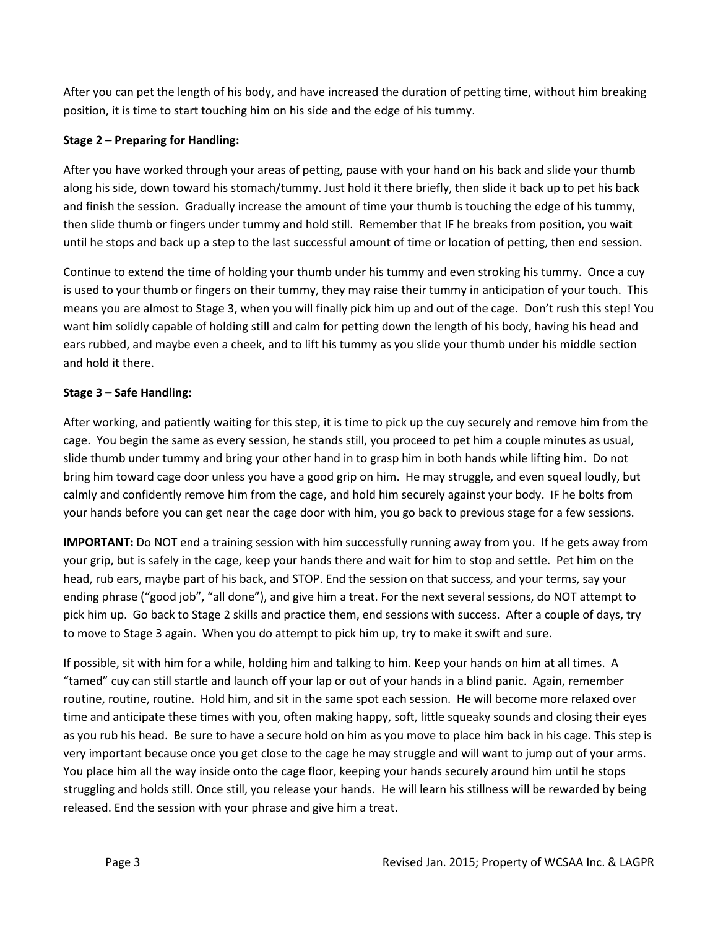After you can pet the length of his body, and have increased the duration of petting time, without him breaking position, it is time to start touching him on his side and the edge of his tummy.

# Stage 2 – Preparing for Handling:

After you have worked through your areas of petting, pause with your hand on his back and slide your thumb along his side, down toward his stomach/tummy. Just hold it there briefly, then slide it back up to pet his back and finish the session. Gradually increase the amount of time your thumb is touching the edge of his tummy, then slide thumb or fingers under tummy and hold still. Remember that IF he breaks from position, you wait until he stops and back up a step to the last successful amount of time or location of petting, then end session.

Continue to extend the time of holding your thumb under his tummy and even stroking his tummy. Once a cuy is used to your thumb or fingers on their tummy, they may raise their tummy in anticipation of your touch. This means you are almost to Stage 3, when you will finally pick him up and out of the cage. Don't rush this step! You want him solidly capable of holding still and calm for petting down the length of his body, having his head and ears rubbed, and maybe even a cheek, and to lift his tummy as you slide your thumb under his middle section and hold it there.

# Stage 3 – Safe Handling:

After working, and patiently waiting for this step, it is time to pick up the cuy securely and remove him from the cage. You begin the same as every session, he stands still, you proceed to pet him a couple minutes as usual, slide thumb under tummy and bring your other hand in to grasp him in both hands while lifting him. Do not bring him toward cage door unless you have a good grip on him. He may struggle, and even squeal loudly, but calmly and confidently remove him from the cage, and hold him securely against your body. IF he bolts from your hands before you can get near the cage door with him, you go back to previous stage for a few sessions.

IMPORTANT: Do NOT end a training session with him successfully running away from you. If he gets away from your grip, but is safely in the cage, keep your hands there and wait for him to stop and settle. Pet him on the head, rub ears, maybe part of his back, and STOP. End the session on that success, and your terms, say your ending phrase ("good job", "all done"), and give him a treat. For the next several sessions, do NOT attempt to pick him up. Go back to Stage 2 skills and practice them, end sessions with success. After a couple of days, try to move to Stage 3 again. When you do attempt to pick him up, try to make it swift and sure.

If possible, sit with him for a while, holding him and talking to him. Keep your hands on him at all times. A "tamed" cuy can still startle and launch off your lap or out of your hands in a blind panic. Again, remember routine, routine, routine. Hold him, and sit in the same spot each session. He will become more relaxed over time and anticipate these times with you, often making happy, soft, little squeaky sounds and closing their eyes as you rub his head. Be sure to have a secure hold on him as you move to place him back in his cage. This step is very important because once you get close to the cage he may struggle and will want to jump out of your arms. You place him all the way inside onto the cage floor, keeping your hands securely around him until he stops struggling and holds still. Once still, you release your hands. He will learn his stillness will be rewarded by being released. End the session with your phrase and give him a treat.